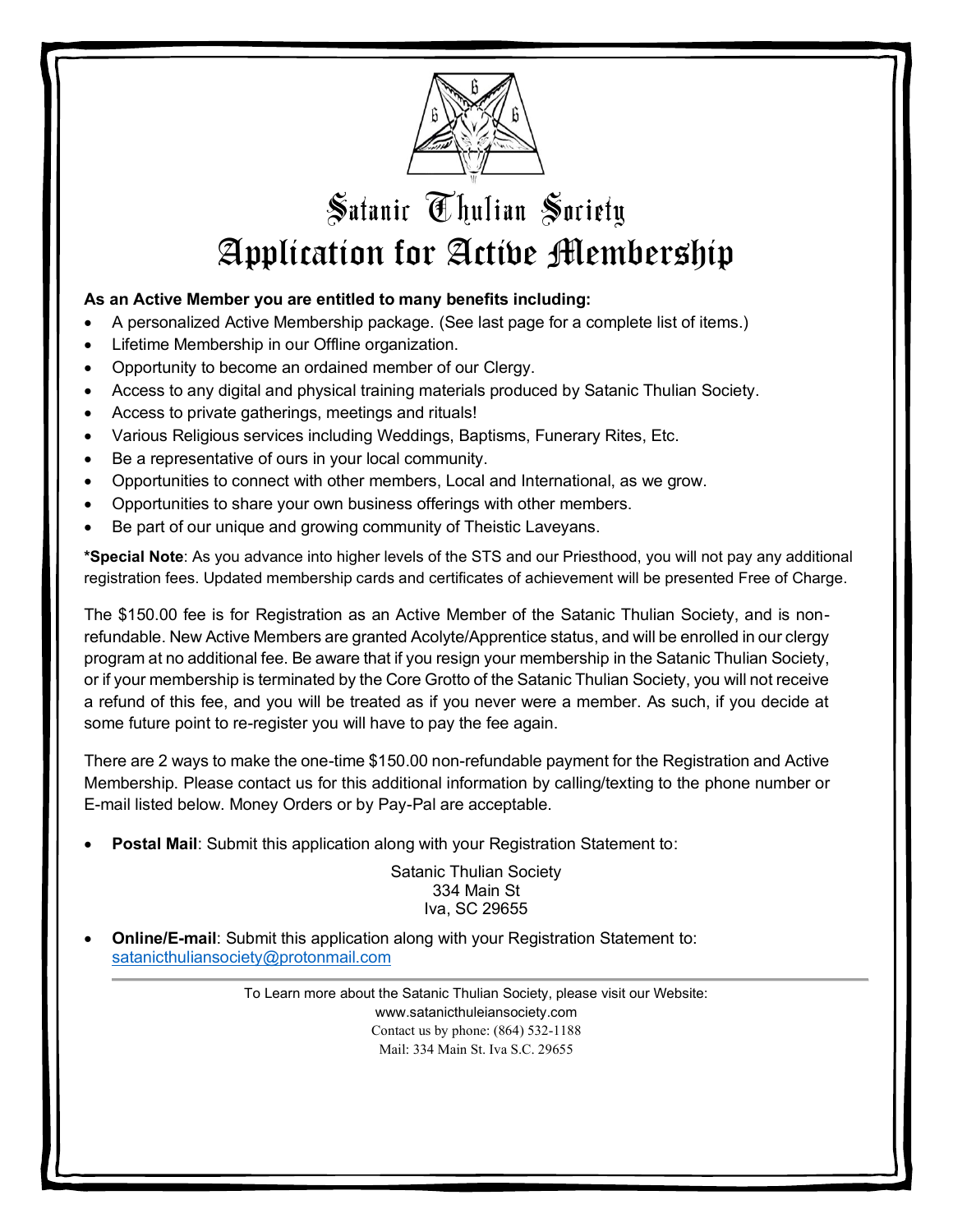

## Satanic Thulian Society Application for Active Membership

## **As an Active Member you are entitled to many benefits including:**

- A personalized Active Membership package. (See last page for a complete list of items.)
- Lifetime Membership in our Offline organization.
- Opportunity to become an ordained member of our Clergy.
- Access to any digital and physical training materials produced by Satanic Thulian Society.
- Access to private gatherings, meetings and rituals!
- Various Religious services including Weddings, Baptisms, Funerary Rites, Etc.
- Be a representative of ours in your local community.
- Opportunities to connect with other members, Local and International, as we grow.
- Opportunities to share your own business offerings with other members.
- Be part of our unique and growing community of Theistic Laveyans.

**\*Special Note**: As you advance into higher levels of the STS and our Priesthood, you will not pay any additional registration fees. Updated membership cards and certificates of achievement will be presented Free of Charge.

The \$150.00 fee is for Registration as an Active Member of the Satanic Thulian Society, and is nonrefundable. New Active Members are granted Acolyte/Apprentice status, and will be enrolled in our clergy program at no additional fee. Be aware that if you resign your membership in the Satanic Thulian Society, or if your membership is terminated by the Core Grotto of the Satanic Thulian Society, you will not receive a refund of this fee, and you will be treated as if you never were a member. As such, if you decide at some future point to re-register you will have to pay the fee again.

There are 2 ways to make the one-time \$150.00 non-refundable payment for the Registration and Active Membership. Please contact us for this additional information by calling/texting to the phone number or E-mail listed below. Money Orders or by Pay-Pal are acceptable.

**Postal Mail:** Submit this application along with your Registration Statement to:

Satanic Thulian Society 334 Main St Iva, SC 29655

• **Online/E-mail**: Submit this application along with your Registration Statement to: [satanicthuliansociety@protonmail.com](mailto:satanicthuliansociety@protonmail.com)

> To Learn more about the Satanic Thulian Society, please visit our Website: www.satanicthuleiansociety.com Contact us by phone: (864) 532-1188 Mail: 334 Main St. Iva S.C. 29655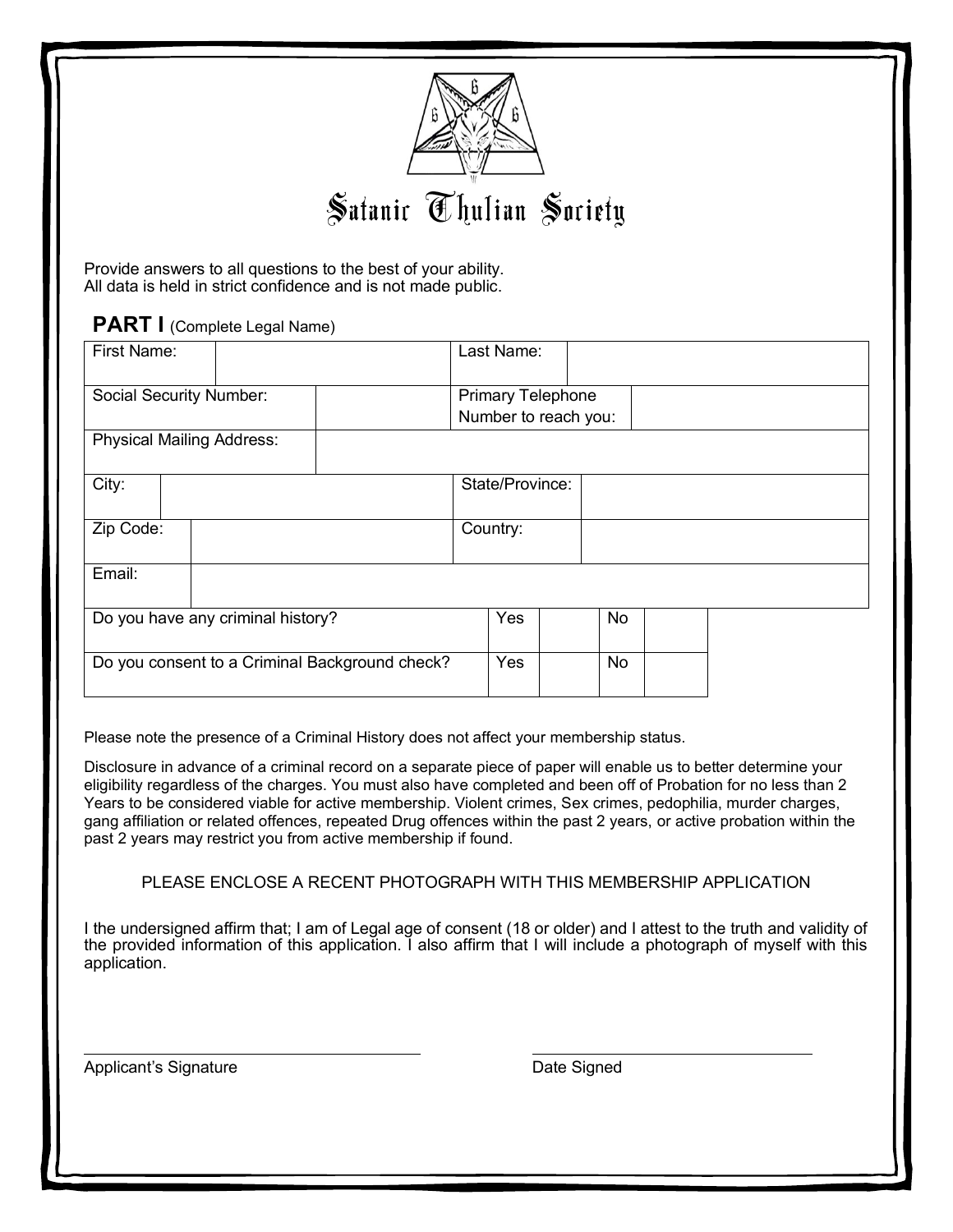

Provide answers to all questions to the best of your ability. All data is held in strict confidence and is not made public.

**PART I** (Complete Legal Name)

| First Name:                                    |  |                 | Last Name:                                       |    |  |  |  |  |
|------------------------------------------------|--|-----------------|--------------------------------------------------|----|--|--|--|--|
| Social Security Number:                        |  |                 | <b>Primary Telephone</b><br>Number to reach you: |    |  |  |  |  |
| <b>Physical Mailing Address:</b>               |  |                 |                                                  |    |  |  |  |  |
| City:                                          |  | State/Province: |                                                  |    |  |  |  |  |
| Zip Code:                                      |  |                 | Country:                                         |    |  |  |  |  |
| Email:                                         |  |                 |                                                  |    |  |  |  |  |
| Do you have any criminal history?              |  |                 | Yes                                              | No |  |  |  |  |
| Do you consent to a Criminal Background check? |  |                 | Yes                                              | No |  |  |  |  |

Please note the presence of a Criminal History does not affect your membership status.

Disclosure in advance of a criminal record on a separate piece of paper will enable us to better determine your eligibility regardless of the charges. You must also have completed and been off of Probation for no less than 2 Years to be considered viable for active membership. Violent crimes, Sex crimes, pedophilia, murder charges, gang affiliation or related offences, repeated Drug offences within the past 2 years, or active probation within the past 2 years may restrict you from active membership if found.

## PLEASE ENCLOSE A RECENT PHOTOGRAPH WITH THIS MEMBERSHIP APPLICATION

I the undersigned affirm that; I am of Legal age of consent (18 or older) and I attest to the truth and validity of the provided information of this application. I also affirm that I will include a photograph of myself with this application.

Applicant's Signature **Date Signed Date Signed**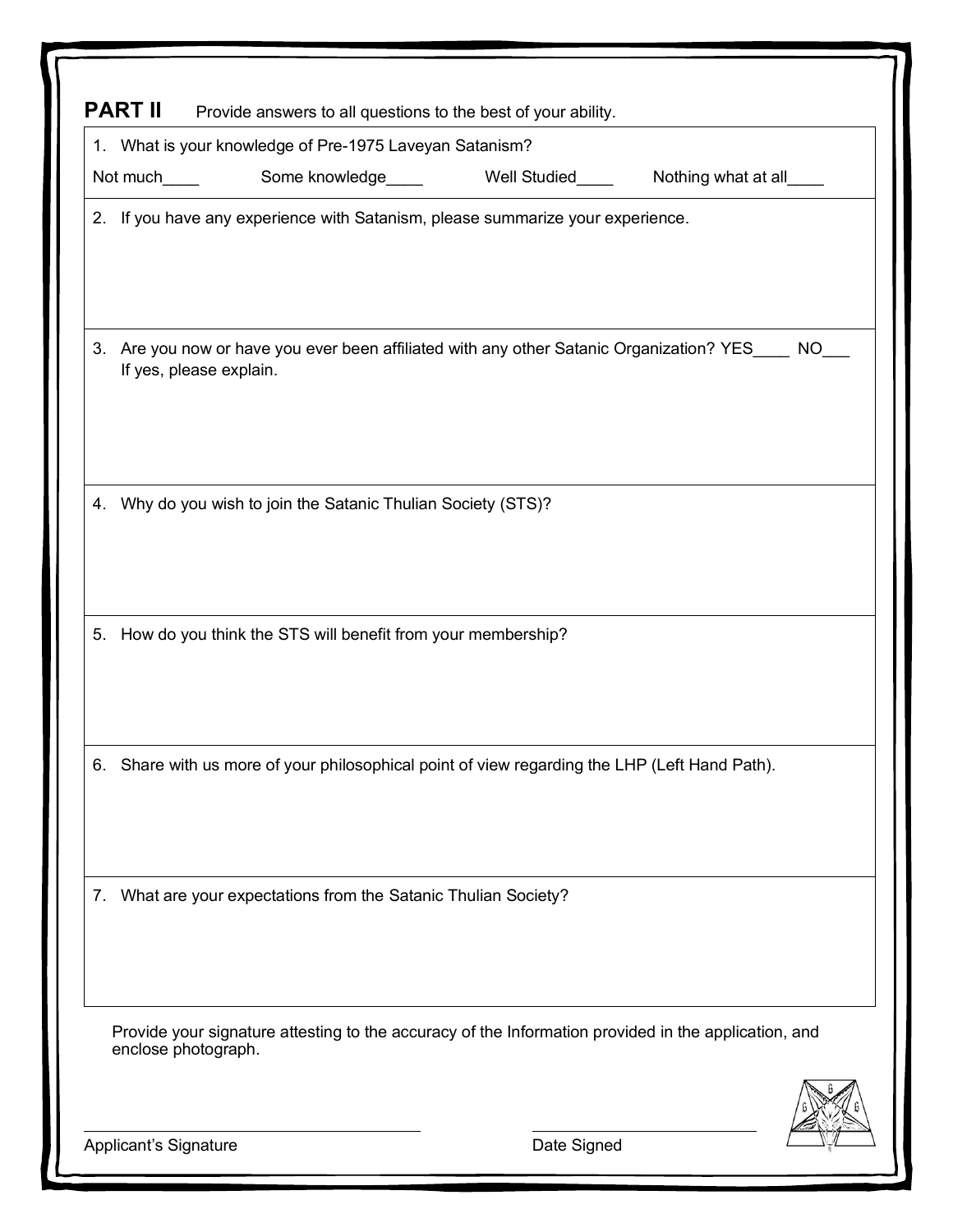| 1. What is your knowledge of Pre-1975 Laveyan Satanism?                                                                        |             |  |
|--------------------------------------------------------------------------------------------------------------------------------|-------------|--|
|                                                                                                                                |             |  |
| 2. If you have any experience with Satanism, please summarize your experience.                                                 |             |  |
| Are you now or have you ever been affiliated with any other Satanic Organization? YES____ NO_<br>3.<br>If yes, please explain. |             |  |
| Why do you wish to join the Satanic Thulian Society (STS)?<br>4.                                                               |             |  |
| How do you think the STS will benefit from your membership?<br>5.                                                              |             |  |
| Share with us more of your philosophical point of view regarding the LHP (Left Hand Path).<br>6.                               |             |  |
| What are your expectations from the Satanic Thulian Society?<br>7.                                                             |             |  |
| Provide your signature attesting to the accuracy of the Information provided in the application, and<br>enclose photograph.    |             |  |
| Applicant's Signature                                                                                                          | Date Signed |  |